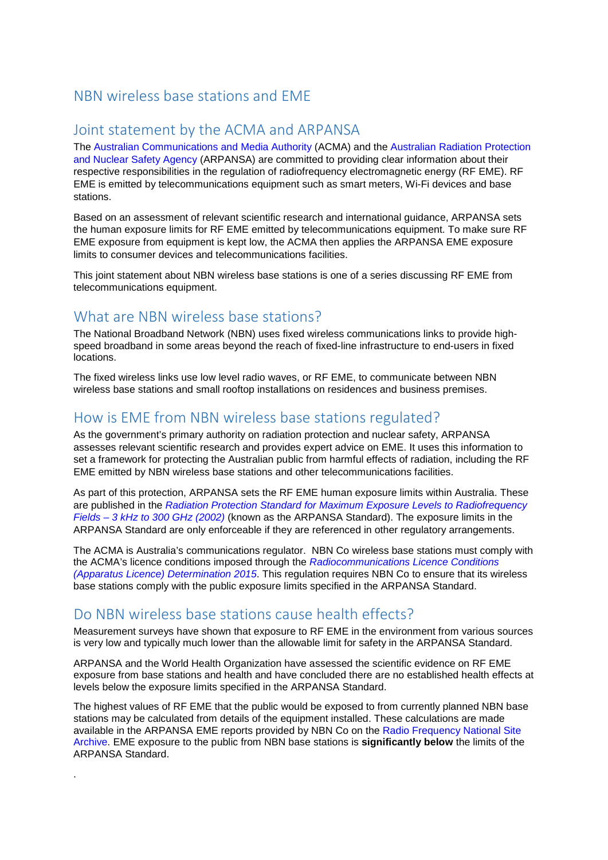### NBN wireless base stations and EME

### Joint statement by the ACMA and ARPANSA

The [Australian Communications and Media Authority](http://www.acma.gov.au/) (ACMA) and the [Australian Radiation Protection](http://www.arpansa.gov.au/) [and Nuclear Safety Agency](http://www.arpansa.gov.au/) (ARPANSA) are committed to providing clear information about their respective responsibilities in the regulation of radiofrequency electromagnetic energy (RF EME). RF EME is emitted by telecommunications equipment such as smart meters, Wi-Fi devices and base stations.

Based on an assessment of relevant scientific research and international guidance, ARPANSA sets the human exposure limits for RF EME emitted by telecommunications equipment. To make sure RF EME exposure from equipment is kept low, the ACMA then applies the ARPANSA EME exposure limits to consumer devices and telecommunications facilities.

This joint statement about NBN wireless base stations is one of a series discussing RF EME from telecommunications equipment.

#### What are NBN wireless base stations?

The National Broadband Network (NBN) uses fixed wireless communications links to provide highspeed broadband in some areas beyond the reach of fixed-line infrastructure to end-users in fixed locations.

The fixed wireless links use low level radio waves, or RF EME, to communicate between NBN wireless base stations and small rooftop installations on residences and business premises.

## How is EME from NBN wireless base stations regulated?

As the government's primary authority on radiation protection and nuclear safety, ARPANSA assesses relevant scientific research and provides expert advice on EME. It uses this information to set a framework for protecting the Australian public from harmful effects of radiation, including the RF EME emitted by NBN wireless base stations and other telecommunications facilities.

As part of this protection, ARPANSA sets the RF EME human exposure limits within Australia. These are published in the *[Radiation Protection Standard for Maximum Exposure Levels to Radiofrequency](http://www.arpansa.gov.au/RadiationProtection/Factsheets/is_rfStandard.cfm)  Fields – [3 kHz to 300 GHz \(2002\)](http://www.arpansa.gov.au/RadiationProtection/Factsheets/is_rfStandard.cfm)* (known as the ARPANSA Standard). The exposure limits in the ARPANSA Standard are only enforceable if they are referenced in other regulatory arrangements.

The ACMA is Australia's communications regulator. NBN Co wireless base stations must comply with the ACMA's licence conditions imposed through the *[Radiocommunications Licence Conditions](http://www.comlaw.gov.au/Series/F2015L00210)  [\(Apparatus Licence\) Determination 2015](http://www.comlaw.gov.au/Series/F2015L00210)*. This regulation requires NBN Co to ensure that its wireless base stations comply with the public exposure limits specified in the ARPANSA Standard.

### Do NBN wireless base stations cause health effects?

.

Measurement surveys have shown that exposure to RF EME in the environment from various sources is very low and typically much lower than the allowable limit for safety in the ARPANSA Standard.

ARPANSA and the World Health Organization have assessed the scientific evidence on RF EME exposure from base stations and health and have concluded there are no established health effects at levels below the exposure limits specified in the ARPANSA Standard.

The highest values of RF EME that the public would be exposed to from currently planned NBN base stations may be calculated from details of the equipment installed. These calculations are made available in the ARPANSA EME reports provided by NBN Co on the [Radio Frequency National Site](http://www.rfnsa.com.au/)  [Archive.](http://www.rfnsa.com.au/) EME exposure to the public from NBN base stations is **significantly below** the limits of the ARPANSA Standard.